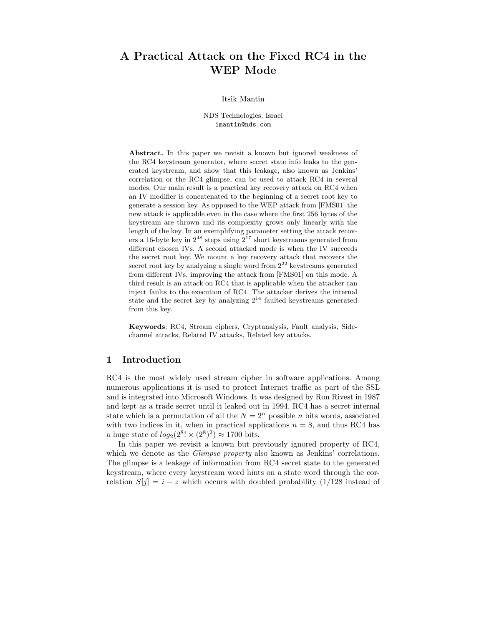# **A Practical Attack on the Fixed RC4 in the WEP Mode**

#### Itsik Mantin

NDS Technologies, Israel imantin@nds.com

**Abstract.** In this paper we revisit a known but ignored weakness of the RC4 keystream generator, where secret state info leaks to the generated keystream, and show that this leakage, also known as Jenkins' correlation or the RC4 glimpse, can be used to attack RC4 in several modes. Our main result is a practical key recovery attack on RC4 when an IV modifier is concatenated to the beginning of a secret root key to generate a session key. As opposed to the WEP attack from [FMS01] the new attack is applicable even in the case where the first 256 bytes of the keystream are thrown and its complexity grows only linearly with the length of the key. In an exemplifying parameter setting the attack recovers a 16-byte key in  $2^{48}$  steps using  $2^{17}$  short keystreams generated from different chosen IVs. A second attacked mode is when the IV succeeds the secret root key. We mount a key recovery attack that recovers the secret root key by analyzing a single word from  $2^{22}$  keystreams generated from different IVs, improving the attack from [FMS01] on this mode. A third result is an attack on RC4 that is applicable when the attacker can inject faults to the execution of RC4. The attacker derives the internal state and the secret key by analyzing  $2^{14}$  faulted keystreams generated from this key.

**Keywords**: RC4, Stream ciphers, Cryptanalysis, Fault analysis, Sidechannel attacks, Related IV attacks, Related key attacks.

# **1 Introduction**

RC4 is the most widely used stream cipher in software applications. Among numerous applications it is used to protect Internet traffic as part of the SSL and is integrated into Microsoft Windows. It was designed by Ron Rivest in 1987 and kept as a trade secret until it leaked out in 1994. RC4 has a secret internal state which is a permutation of all the  $N = 2<sup>n</sup>$  possible n bits words, associated with two indices in it, when in practical applications  $n = 8$ , and thus RC4 has a huge state of  $log_2(2^8! \times (2^8)^2) \approx 1700$  bits.

In this paper we revisit a known but previously ignored property of RC4, which we denote as the *Glimpse property* also known as Jenkins' correlations. The glimpse is a leakage of information from RC4 secret state to the generated keystream, where every keystream word hints on a state word through the correlation  $S[j] = i - z$  which occurs with doubled probability (1/128 instead of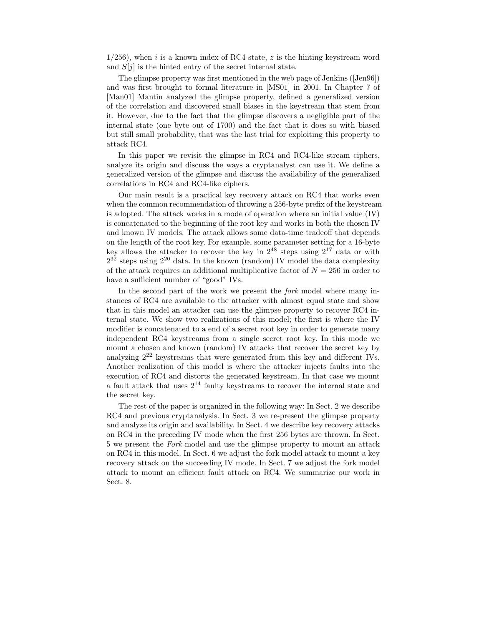$1/256$ , when i is a known index of RC4 state, z is the hinting keystream word and  $S[i]$  is the hinted entry of the secret internal state.

The glimpse property was first mentioned in the web page of Jenkins ([Jen96]) and was first brought to formal literature in [MS01] in 2001. In Chapter 7 of [Man01] Mantin analyzed the glimpse property, defined a generalized version of the correlation and discovered small biases in the keystream that stem from it. However, due to the fact that the glimpse discovers a negligible part of the internal state (one byte out of 1700) and the fact that it does so with biased but still small probability, that was the last trial for exploiting this property to attack RC4.

In this paper we revisit the glimpse in RC4 and RC4-like stream ciphers, analyze its origin and discuss the ways a cryptanalyst can use it. We define a generalized version of the glimpse and discuss the availability of the generalized correlations in RC4 and RC4-like ciphers.

Our main result is a practical key recovery attack on RC4 that works even when the common recommendation of throwing a 256-byte prefix of the keystream is adopted. The attack works in a mode of operation where an initial value  $(IV)$ is concatenated to the beginning of the root key and works in both the chosen IV and known IV models. The attack allows some data-time tradeoff that depends on the length of the root key. For example, some parameter setting for a 16-byte key allows the attacker to recover the key in  $2^{48}$  steps using  $2^{17}$  data or with  $2^{32}$  steps using  $2^{20}$  data. In the known (random) IV model the data complexity of the attack requires an additional multiplicative factor of  $N = 256$  in order to have a sufficient number of "good" IVs.

In the second part of the work we present the *fork* model where many instances of RC4 are available to the attacker with almost equal state and show that in this model an attacker can use the glimpse property to recover RC4 internal state. We show two realizations of this model; the first is where the IV modifier is concatenated to a end of a secret root key in order to generate many independent RC4 keystreams from a single secret root key. In this mode we mount a chosen and known (random) IV attacks that recover the secret key by analyzing  $2^{22}$  keystreams that were generated from this key and different IVs. Another realization of this model is where the attacker injects faults into the execution of RC4 and distorts the generated keystream. In that case we mount a fault attack that uses  $2^{14}$  faulty keystreams to recover the internal state and the secret key.

The rest of the paper is organized in the following way: In Sect. 2 we describe RC4 and previous cryptanalysis. In Sect. 3 we re-present the glimpse property and analyze its origin and availability. In Sect. 4 we describe key recovery attacks on RC4 in the preceding IV mode when the first 256 bytes are thrown. In Sect. 5 we present the *Fork* model and use the glimpse property to mount an attack on RC4 in this model. In Sect. 6 we adjust the fork model attack to mount a key recovery attack on the succeeding IV mode. In Sect. 7 we adjust the fork model attack to mount an efficient fault attack on RC4. We summarize our work in Sect. 8.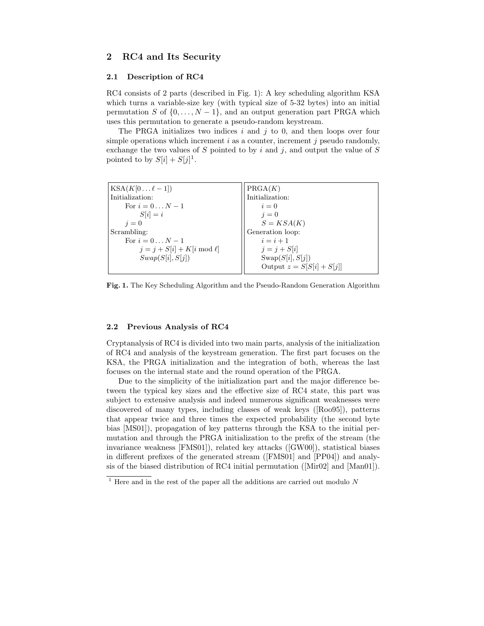# **2 RC4 and Its Security**

#### **2.1 Description of RC4**

RC4 consists of 2 parts (described in Fig. 1): A key scheduling algorithm KSA which turns a variable-size key (with typical size of 5-32 bytes) into an initial permutation S of  $\{0,\ldots,N-1\}$ , and an output generation part PRGA which uses this permutation to generate a pseudo-random keystream.

The PRGA initializes two indices  $i$  and  $j$  to 0, and then loops over four simple operations which increment  $i$  as a counter, increment  $j$  pseudo randomly, exchange the two values of S pointed to by i and j, and output the value of S pointed to by  $S[i] + S[j]$ <sup>1</sup>.

| $\text{KSA}(K[0 \dots \ell-1])$ | PRGA(K)                     |
|---------------------------------|-----------------------------|
| Initialization:                 | Initialization:             |
| For $i=0N-1$                    | $i=0$                       |
| $S[i] = i$                      | $i=0$                       |
| $i=0$                           | $S = KSA(K)$                |
| Scrambling:                     | Generation loop:            |
| For $i=0N-1$                    | $i=i+1$                     |
| $j = j + S[i] + K[i \mod \ell]$ | $j = j + S[i]$              |
| Swap(S[i], S[j])                | Swap(S[i], S[i])            |
|                                 | Output $z = S[S[i] + S[j]]$ |
|                                 |                             |

**Fig. 1.** The Key Scheduling Algorithm and the Pseudo-Random Generation Algorithm

#### **2.2 Previous Analysis of RC4**

Cryptanalysis of RC4 is divided into two main parts, analysis of the initialization of RC4 and analysis of the keystream generation. The first part focuses on the KSA, the PRGA initialization and the integration of both, whereas the last focuses on the internal state and the round operation of the PRGA.

Due to the simplicity of the initialization part and the major difference between the typical key sizes and the effective size of RC4 state, this part was subject to extensive analysis and indeed numerous significant weaknesses were discovered of many types, including classes of weak keys ([Roo95]), patterns that appear twice and three times the expected probability (the second byte bias [MS01]), propagation of key patterns through the KSA to the initial permutation and through the PRGA initialization to the prefix of the stream (the invariance weakness [FMS01]), related key attacks ([GW00]), statistical biases in different prefixes of the generated stream ([FMS01] and [PP04]) and analysis of the biased distribution of RC4 initial permutation ([Mir02] and [Man01]).

 $\frac{1}{1}$  Here and in the rest of the paper all the additions are carried out modulo N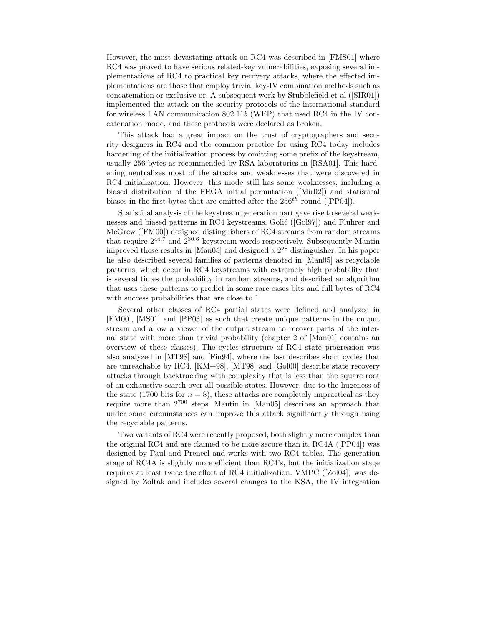However, the most devastating attack on RC4 was described in [FMS01] where RC4 was proved to have serious related-key vulnerabilities, exposing several implementations of RC4 to practical key recovery attacks, where the effected implementations are those that employ trivial key-IV combination methods such as concatenation or exclusive-or. A subsequent work by Stubblefield et-al ([SIR01]) implemented the attack on the security protocols of the international standard for wireless LAN communication 802.11b (WEP) that used RC4 in the IV concatenation mode, and these protocols were declared as broken.

This attack had a great impact on the trust of cryptographers and security designers in RC4 and the common practice for using RC4 today includes hardening of the initialization process by omitting some prefix of the keystream, usually 256 bytes as recommended by RSA laboratories in [RSA01]. This hardening neutralizes most of the attacks and weaknesses that were discovered in RC4 initialization. However, this mode still has some weaknesses, including a biased distribution of the PRGA initial permutation ([Mir02]) and statistical biases in the first bytes that are emitted after the  $256^{th}$  round ([PP04]).

Statistical analysis of the keystream generation part gave rise to several weaknesses and biased patterns in RC4 keystreams. Golić ( $[Gol97]$ ) and Fluhrer and McGrew ([FM00]) designed distinguishers of RC4 streams from random streams that require  $2^{44.7}$  and  $2^{30.6}$  keystream words respectively. Subsequently Mantin improved these results in [Man05] and designed a  $2^{28}$  distinguisher. In his paper he also described several families of patterns denoted in [Man05] as recyclable patterns, which occur in RC4 keystreams with extremely high probability that is several times the probability in random streams, and described an algorithm that uses these patterns to predict in some rare cases bits and full bytes of RC4 with success probabilities that are close to 1.

Several other classes of RC4 partial states were defined and analyzed in [FM00], [MS01] and [PP03] as such that create unique patterns in the output stream and allow a viewer of the output stream to recover parts of the internal state with more than trivial probability (chapter 2 of [Man01] contains an overview of these classes). The cycles structure of RC4 state progression was also analyzed in [MT98] and [Fin94], where the last describes short cycles that are unreachable by RC4. [KM+98], [MT98] and [Gol00] describe state recovery attacks through backtracking with complexity that is less than the square root of an exhaustive search over all possible states. However, due to the hugeness of the state (1700 bits for  $n = 8$ ), these attacks are completely impractical as they require more than  $2^{700}$  steps. Mantin in [Man05] describes an approach that under some circumstances can improve this attack significantly through using the recyclable patterns.

Two variants of RC4 were recently proposed, both slightly more complex than the original RC4 and are claimed to be more secure than it. RC4A ([PP04]) was designed by Paul and Preneel and works with two RC4 tables. The generation stage of RC4A is slightly more efficient than RC4's, but the initialization stage requires at least twice the effort of RC4 initialization. VMPC ([Zol04]) was designed by Zoltak and includes several changes to the KSA, the IV integration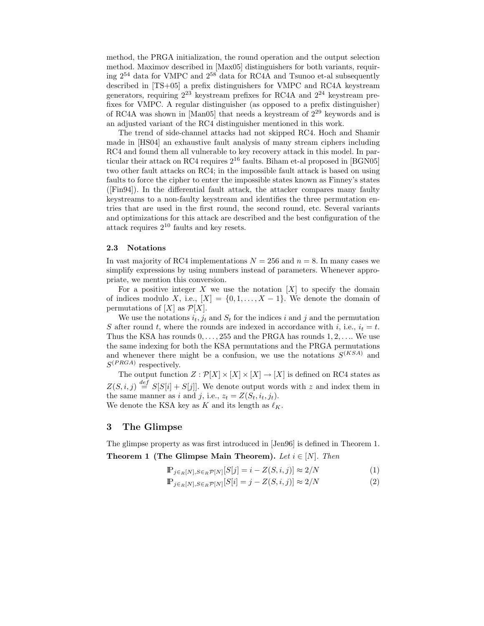method, the PRGA initialization, the round operation and the output selection method. Maximov described in [Max05] distinguishers for both variants, requiring  $2^{54}$  data for VMPC and  $2^{58}$  data for RC4A and Tsunoo et-al subsequently described in [TS+05] a prefix distinguishers for VMPC and RC4A keystream generators, requiring  $2^{23}$  keystream prefixes for RC4A and  $2^{24}$  keystream prefixes for VMPC. A regular distinguisher (as opposed to a prefix distinguisher) of RC4A was shown in [Man05] that needs a keystream of 2<sup>29</sup> keywords and is an adjusted variant of the RC4 distinguisher mentioned in this work.

The trend of side-channel attacks had not skipped RC4. Hoch and Shamir made in [HS04] an exhaustive fault analysis of many stream ciphers including RC4 and found them all vulnerable to key recovery attack in this model. In particular their attack on RC4 requires  $2^{16}$  faults. Biham et-al proposed in [BGN05] two other fault attacks on RC4; in the impossible fault attack is based on using faults to force the cipher to enter the impossible states known as Finney's states ([Fin94]). In the differential fault attack, the attacker compares many faulty keystreams to a non-faulty keystream and identifies the three permutation entries that are used in the first round, the second round, etc. Several variants and optimizations for this attack are described and the best configuration of the attack requires  $2^{10}$  faults and key resets.

#### **2.3 Notations**

In vast majority of RC4 implementations  $N = 256$  and  $n = 8$ . In many cases we simplify expressions by using numbers instead of parameters. Whenever appropriate, we mention this conversion.

For a positive integer X we use the notation  $[X]$  to specify the domain of indices modulo X, i.e.,  $[X] = \{0, 1, \ldots, X - 1\}$ . We denote the domain of permutations of  $[X]$  as  $\mathcal{P}[X]$ .

We use the notations  $i_t, j_t$  and  $S_t$  for the indices i and j and the permutation S after round t, where the rounds are indexed in accordance with i, i.e.,  $i_t = t$ . Thus the KSA has rounds  $0, \ldots, 255$  and the PRGA has rounds  $1, 2, \ldots$  We use the same indexing for both the KSA permutations and the PRGA permutations and whenever there might be a confusion, we use the notations  $S^{(KSA)}$  and  $S^{(PRGA)}$  respectively.

The output function  $Z : \mathcal{P}[X] \times [X] \times [X] \to [X]$  is defined on RC4 states as  $Z(S, i, j) \stackrel{def}{=} S[S[i] + S[j]]$ . We denote output words with z and index them in the same manner as i and j, i.e.,  $z_t = Z(S_t, i_t, j_t)$ . We denote the KSA key as K and its length as  $\ell_K$ .

# **3 The Glimpse**

The glimpse property as was first introduced in [Jen96] is defined in Theorem 1. **Theorem 1 (The Glimpse Main Theorem).** *Let*  $i \in [N]$ *. Then* 

$$
\mathbb{P}_{j \in R[N], S \in R} \mathcal{P}[N][S[j] = i - Z(S, i, j)] \approx 2/N \tag{1}
$$

$$
\mathbb{P}_{j \in R[N], S \in R} \mathcal{P}[N][S[i] = j - Z(S, i, j)] \approx 2/N \tag{2}
$$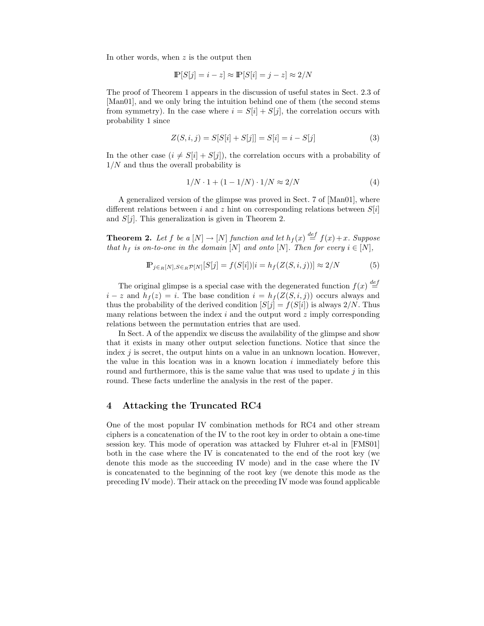In other words, when  $z$  is the output then

$$
\mathbb{P}[S[j] = i - z] \approx \mathbb{P}[S[i] = j - z] \approx 2/N
$$

The proof of Theorem 1 appears in the discussion of useful states in Sect. 2.3 of [Man01], and we only bring the intuition behind one of them (the second stems from symmetry). In the case where  $i = S[i] + S[j]$ , the correlation occurs with probability 1 since

$$
Z(S, i, j) = S[S[i] + S[j]] = S[i] = i - S[j]
$$
\n(3)

In the other case  $(i \neq S[i] + S[j])$ , the correlation occurs with a probability of  $1/N$  and thus the overall probability is

$$
1/N \cdot 1 + (1 - 1/N) \cdot 1/N \approx 2/N \tag{4}
$$

A generalized version of the glimpse was proved in Sect. 7 of [Man01], where different relations between i and z hint on corresponding relations between  $S[i]$ and  $S[i]$ . This generalization is given in Theorem 2.

**Theorem 2.** Let f be a  $[N] \rightarrow [N]$  function and let  $h_f(x) \stackrel{def}{=} f(x) + x$ . Suppose<br>that he is on-to-one in the domain  $[N]$  and onto  $[N]$ . Then for every  $i \in [N]$ *that*  $h_f$  *is on-to-one in the domain* [N] *and onto* [N]*. Then for every*  $i \in [N]$ *,* 

$$
\mathbb{P}_{j \in R[N], S \in R} \mathcal{P}[N][S[j] = f(S[i]) | i = h_f(Z(S, i, j))] \approx 2/N \tag{5}
$$

The original glimpse is a special case with the degenerated function  $f(x) \stackrel{def}{=}$ <br>z and  $h_s(z) = i$ . The base condition  $i = h_s(Z(S, i, i))$  occurs always and  $i - z$  and  $h_f(z) = i$ . The base condition  $i = h_f(Z(S, i, j))$  occurs always and thus the probability of the derived condition  $[S[j] = f(S[i])$  is always  $2/N$ . Thus many relations between the index  $i$  and the output word  $z$  imply corresponding relations between the permutation entries that are used.

In Sect. A of the appendix we discuss the availability of the glimpse and show that it exists in many other output selection functions. Notice that since the index  $j$  is secret, the output hints on a value in an unknown location. However, the value in this location was in a known location  $i$  immediately before this round and furthermore, this is the same value that was used to update  $j$  in this round. These facts underline the analysis in the rest of the paper.

# **4 Attacking the Truncated RC4**

One of the most popular IV combination methods for RC4 and other stream ciphers is a concatenation of the IV to the root key in order to obtain a one-time session key. This mode of operation was attacked by Fluhrer et-al in [FMS01] both in the case where the IV is concatenated to the end of the root key (we denote this mode as the succeeding IV mode) and in the case where the IV is concatenated to the beginning of the root key (we denote this mode as the preceding IV mode). Their attack on the preceding IV mode was found applicable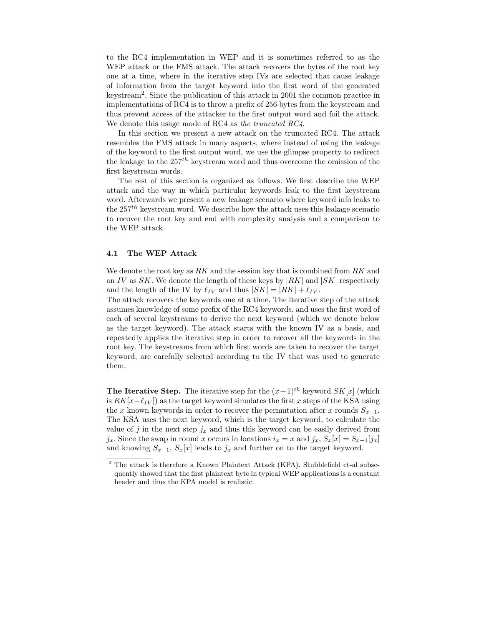to the RC4 implementation in WEP and it is sometimes referred to as the WEP attack or the FMS attack. The attack recovers the bytes of the root key one at a time, where in the iterative step IVs are selected that cause leakage of information from the target keyword into the first word of the generated keystream2. Since the publication of this attack in 2001 the common practice in implementations of RC4 is to throw a prefix of 256 bytes from the keystream and thus prevent access of the attacker to the first output word and foil the attack. We denote this usage mode of RC4 as *the truncated RC4*.

In this section we present a new attack on the truncated RC4. The attack resembles the FMS attack in many aspects, where instead of using the leakage of the keyword to the first output word, we use the glimpse property to redirect the leakage to the  $257<sup>th</sup>$  keystream word and thus overcome the omission of the first keystream words.

The rest of this section is organized as follows. We first describe the WEP attack and the way in which particular keywords leak to the first keystream word. Afterwards we present a new leakage scenario where keyword info leaks to the  $257<sup>th</sup>$  keystream word. We describe how the attack uses this leakage scenario to recover the root key and end with complexity analysis and a comparison to the WEP attack.

#### **4.1 The WEP Attack**

We denote the root key as  $RK$  and the session key that is combined from  $RK$  and an IV as  $SK$ . We denote the length of these keys by  $|RK|$  and  $|SK|$  respectively and the length of the IV by  $\ell_{IV}$  and thus  $|SK| = |RK| + \ell_{IV}$ .

The attack recovers the keywords one at a time. The iterative step of the attack assumes knowledge of some prefix of the RC4 keywords, and uses the first word of each of several keystreams to derive the next keyword (which we denote below as the target keyword). The attack starts with the known IV as a basis, and repeatedly applies the iterative step in order to recover all the keywords in the root key. The keystreams from which first words are taken to recover the target keyword, are carefully selected according to the IV that was used to generate them.

**The Iterative Step.** The iterative step for the  $(x+1)^{th}$  keyword  $SK[x]$  (which is  $RK[x-\ell_{IV}]$  as the target keyword simulates the first x steps of the KSA using the x known keywords in order to recover the permutation after x rounds  $S_{x-1}$ . The KSA uses the next keyword, which is the target keyword, to calculate the value of j in the next step  $j_x$  and thus this keyword can be easily derived from j<sub>x</sub>. Since the swap in round x occurs in locations  $i_x = x$  and j<sub>x</sub>,  $S_x[x] = S_{x-1}[j_x]$ and knowing  $S_{x-1}$ ,  $S_x[x]$  leads to  $j_x$  and further on to the target keyword.

<sup>&</sup>lt;sup>2</sup> The attack is therefore a Known Plaintext Attack (KPA). Stubblefield et-al subsequently showed that the first plaintext byte in typical WEP applications is a constant header and thus the KPA model is realistic.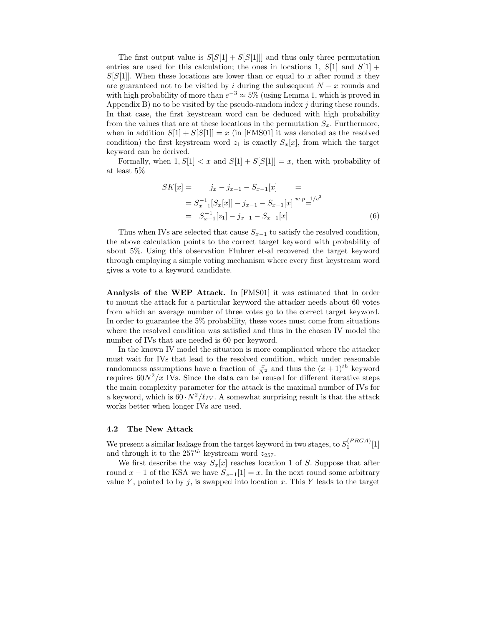The first output value is  $S[S[1] + S[S[1]]]$  and thus only three permutation entries are used for this calculation; the ones in locations 1,  $S[1]$  and  $S[1]$  +  $S[S[1]]$ . When these locations are lower than or equal to x after round x they are guaranteed not to be visited by i during the subsequent  $N - x$  rounds and with high probability of more than  $e^{-3} \approx 5\%$  (using Lemma 1, which is proved in Appendix B) no to be visited by the pseudo-random index  $j$  during these rounds. In that case, the first keystream word can be deduced with high probability from the values that are at these locations in the permutation  $S_x$ . Furthermore, when in addition  $S[1] + S[S[1]] = x$  (in [FMS01] it was denoted as the resolved condition) the first keystream word  $z_1$  is exactly  $S_x[x]$ , from which the target keyword can be derived.

Formally, when  $1, S[1] < x$  and  $S[1] + S[S[1]] = x$ , then with probability of at least 5%

$$
SK[x] = j_x - j_{x-1} - S_{x-1}[x] =
$$
  
=  $S_{x-1}^{-1}[S_x[x]] - j_{x-1} - S_{x-1}[x] \xrightarrow{w.p. 1/e^3}$   
=  $S_{x-1}^{-1}[z_1] - j_{x-1} - S_{x-1}[x]$  (6)

Thus when IVs are selected that cause  $S_{x-1}$  to satisfy the resolved condition, the above calculation points to the correct target keyword with probability of about 5%. Using this observation Fluhrer et-al recovered the target keyword through employing a simple voting mechanism where every first keystream word gives a vote to a keyword candidate.

**Analysis of the WEP Attack.** In [FMS01] it was estimated that in order to mount the attack for a particular keyword the attacker needs about 60 votes from which an average number of three votes go to the correct target keyword. In order to guarantee the 5% probability, these votes must come from situations where the resolved condition was satisfied and thus in the chosen IV model the number of IVs that are needed is 60 per keyword.

In the known IV model the situation is more complicated where the attacker must wait for IVs that lead to the resolved condition, which under reasonable randomness assumptions have a fraction of  $\frac{x}{N^2}$  and thus the  $(x + 1)^{th}$  keyword requires  $60N^2/x$  IVs. Since the data can be reused for different iterative steps the main complexity parameter for the attack is the maximal number of IVs for a keyword, which is  $60 \cdot N^2 / \ell_{IV}$ . A somewhat surprising result is that the attack works better when longer IVs are used.

#### **4.2 The New Attack**

We present a similar leakage from the target keyword in two stages, to  $S_1^{(PRGA)}[1]$ <br>and through it to the 257<sup>th</sup> keystream word  $z_{25}$ and through it to the  $257^{th}$  keystream word  $z_{257}$ .

We first describe the way  $S_x[x]$  reaches location 1 of S. Suppose that after round  $x - 1$  of the KSA we have  $S_{x-1}[1] = x$ . In the next round some arbitrary value Y, pointed to by j, is swapped into location x. This Y leads to the target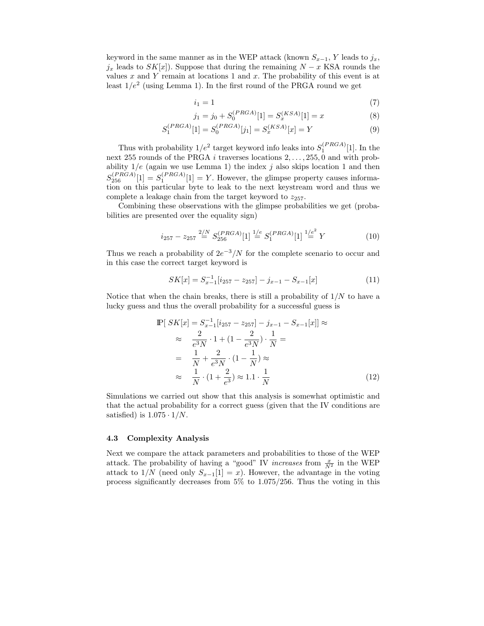keyword in the same manner as in the WEP attack (known  $S_{x-1}$ , Y leads to  $j_x$ ,  $j_x$  leads to  $SK[x]$ . Suppose that during the remaining  $N - x$  KSA rounds the values  $x$  and  $Y$  remain at locations 1 and  $x$ . The probability of this event is at least  $1/e^2$  (using Lemma 1). In the first round of the PRGA round we get

$$
i_1 = 1 \tag{7}
$$

$$
j_1 = j_0 + S_0^{(PRGA)}[1] = S_x^{(KSA)}[1] = x
$$
\n(8)

$$
S_1^{(PRGA)}[1] = S_0^{(PRGA)}[j_1] = S_x^{(KSA)}[x] = Y
$$
\n(9)

Thus with probability  $1/e^2$  target keyword info leaks into  $S_1^{(PRGA)}[1]$ . In the  $\pm 255$  rounds of the PRGA *i* traverses locations 2 and 255.0 and with probnext 255 rounds of the PRGA *i* traverses locations  $2, \ldots, 255, 0$  and with prob-<br>ability  $1/e$  (again we use Lemma 1) the index *j* also skips location 1 and then ability  $1/e$  (again we use Lemma 1) the index j also skips location 1 and then  $c(PRGA)_{[1]}$   $V$  Henrican the aliment agency is formed  $S_{256}^{(PRGA)}[1] = S_1^{(PRGA)}[1] = Y$ . However, the glimpse property causes information on this particular byte to leak to the next keystream word and thus we complete a leakage chain from the target keyword to  $z_{257}$ .

Combining these observations with the glimpse probabilities we get (probabilities are presented over the equality sign)

$$
i_{257} - z_{257} \stackrel{2/N}{=} S_{256}^{(PRGA)}[1] \stackrel{1/e}{=} S_1^{(PRGA)}[1] \stackrel{1/e^2}{=} Y \tag{10}
$$

Thus we reach a probability of  $2e^{-3}/N$  for the complete scenario to occur and in this case the correct target keyword is

$$
SK[x] = S_{x-1}^{-1}[i_{257} - z_{257}] - j_{x-1} - S_{x-1}[x]
$$
\n(11)

Notice that when the chain breaks, there is still a probability of  $1/N$  to have a lucky guess and thus the overall probability for a successful guess is

$$
\mathbb{P}[SK[x] = S_{x-1}^{-1}[i_{257} - z_{257}] - j_{x-1} - S_{x-1}[x]] \approx
$$
\n
$$
\approx \frac{2}{e^3 N} \cdot 1 + (1 - \frac{2}{e^3 N}) \cdot \frac{1}{N} =
$$
\n
$$
= \frac{1}{N} + \frac{2}{e^3 N} \cdot (1 - \frac{1}{N}) \approx
$$
\n
$$
\approx \frac{1}{N} \cdot (1 + \frac{2}{e^3}) \approx 1.1 \cdot \frac{1}{N}
$$
\n(12)

Simulations we carried out show that this analysis is somewhat optimistic and that the actual probability for a correct guess (given that the IV conditions are satisfied) is  $1.075 \cdot 1/N$ .

#### **4.3 Complexity Analysis**

Next we compare the attack parameters and probabilities to those of the WEP attack. The probability of having a "good" IV *increases* from  $\frac{x}{N^2}$  in the WEP attack to  $1/N$  (need only  $S_{x-1}[1] = x$ ). However, the advantage in the voting process significantly decreases from 5% to 1.075/256. Thus the voting in this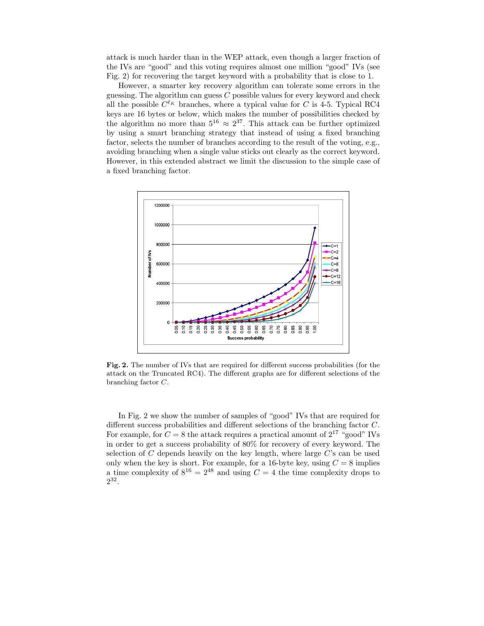attack is much harder than in the WEP attack, even though a larger fraction of the IVs are "good" and this voting requires almost one million "good" IVs (see Fig. 2) for recovering the target keyword with a probability that is close to 1.

However, a smarter key recovery algorithm can tolerate some errors in the guessing. The algorithm can guess  $C$  possible values for every keyword and check all the possible  $C^{\ell_K}$  branches, where a typical value for C is 4-5. Typical RC4 keys are 16 bytes or below, which makes the number of possibilities checked by the algorithm no more than  $5^{16} \approx 2^{37}$ . This attack can be further optimized by using a smart branching strategy that instead of using a fixed branching factor, selects the number of branches according to the result of the voting, e.g., avoiding branching when a single value sticks out clearly as the correct keyword. However, in this extended abstract we limit the discussion to the simple case of a fixed branching factor.



**Fig. 2.** The number of IVs that are required for different success probabilities (for the attack on the Truncated RC4). The different graphs are for different selections of the branching factor C.

In Fig. 2 we show the number of samples of "good" IVs that are required for different success probabilities and different selections of the branching factor C. For example, for  $C = 8$  the attack requires a practical amount of  $2^{17}$  "good" IVs in order to get a success probability of 80% for recovery of every keyword. The selection of C depends heavily on the key length, where large C's can be used only when the key is short. For example, for a 16-byte key, using  $C = 8$  implies only when the key is short. For example, for a 16-byte key, using  $C = 8$  implies<br>a time complexity of  $8^{16} - 2^{48}$  and using  $C = 4$  the time complexity drops to a time complexity of  $8^{16} = 2^{48}$  and using  $C = 4$  the time complexity drops to  $2^{32}$ 2<sup>32</sup>.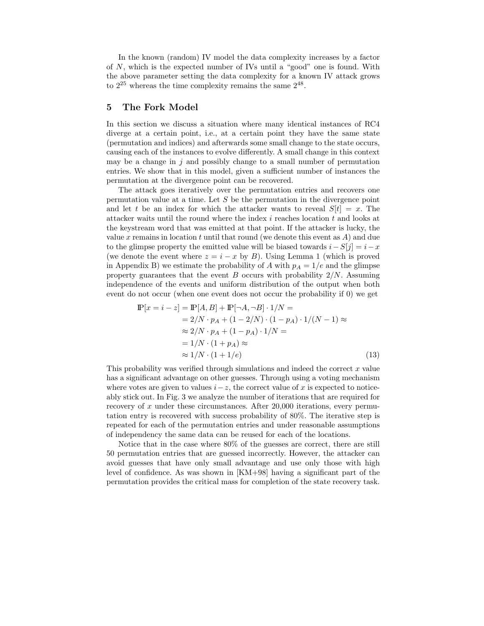In the known (random) IV model the data complexity increases by a factor of N, which is the expected number of IVs until a "good" one is found. With the above parameter setting the data complexity for a known IV attack grows to  $2^{25}$  whereas the time complexity remains the same  $2^{48}$ .

### **5 The Fork Model**

In this section we discuss a situation where many identical instances of RC4 diverge at a certain point, i.e., at a certain point they have the same state (permutation and indices) and afterwards some small change to the state occurs, causing each of the instances to evolve differently. A small change in this context may be a change in  $j$  and possibly change to a small number of permutation entries. We show that in this model, given a sufficient number of instances the permutation at the divergence point can be recovered.

The attack goes iteratively over the permutation entries and recovers one permutation value at a time. Let  $S$  be the permutation in the divergence point and let t be an index for which the attacker wants to reveal  $S[t] = x$ . The attacker waits until the round where the index i reaches location t and looks at the keystream word that was emitted at that point. If the attacker is lucky, the value x remains in location t until that round (we denote this event as  $A$ ) and due to the glimpse property the emitted value will be biased towards  $i-S[j] = i-x$ (we denote the event where  $z = i - x$  by B). Using Lemma 1 (which is proved in Appendix B) we estimate the probability of A with  $p_A = 1/e$  and the glimpse property guarantees that the event B occurs with probability  $2/N$ . Assuming independence of the events and uniform distribution of the output when both event do not occur (when one event does not occur the probability if 0) we get

$$
\mathbb{P}[x=i-z] = \mathbb{P}[A,B] + \mathbb{P}[\neg A,\neg B] \cdot 1/N =
$$
  
= 2/N \cdot p\_A + (1 - 2/N) \cdot (1 - p\_A) \cdot 1/(N - 1) \approx  
\approx 2/N \cdot p\_A + (1 - p\_A) \cdot 1/N =  
= 1/N \cdot (1 + p\_A) \approx  
\approx 1/N \cdot (1 + 1/e) (13)

This probability was verified through simulations and indeed the correct  $x$  value has a significant advantage on other guesses. Through using a voting mechanism where votes are given to values  $i-z$ , the correct value of x is expected to noticeably stick out. In Fig. 3 we analyze the number of iterations that are required for recovery of x under these circumstances. After  $20,000$  iterations, every permutation entry is recovered with success probability of 80%. The iterative step is repeated for each of the permutation entries and under reasonable assumptions of independency the same data can be reused for each of the locations.

Notice that in the case where 80% of the guesses are correct, there are still 50 permutation entries that are guessed incorrectly. However, the attacker can avoid guesses that have only small advantage and use only those with high level of confidence. As was shown in [KM+98] having a significant part of the permutation provides the critical mass for completion of the state recovery task.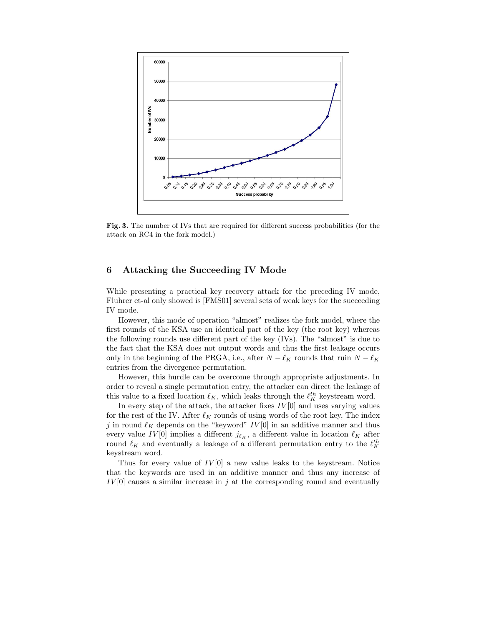

Fig. 3. The number of IVs that are required for different success probabilities (for the attack on RC4 in the fork model.)

# **6 Attacking the Succeeding IV Mode**

While presenting a practical key recovery attack for the preceding IV mode, Fluhrer et-al only showed is [FMS01] several sets of weak keys for the succeeding IV mode.

However, this mode of operation "almost" realizes the fork model, where the first rounds of the KSA use an identical part of the key (the root key) whereas the following rounds use different part of the key (IVs). The "almost" is due to the fact that the KSA does not output words and thus the first leakage occurs only in the beginning of the PRGA, i.e., after  $N - \ell_K$  rounds that ruin  $N - \ell_K$ entries from the divergence permutation.

However, this hurdle can be overcome through appropriate adjustments. In order to reveal a single permutation entry, the attacker can direct the leakage of this value to a fixed location  $\ell_K$ , which leaks through the  $\ell_K^{th}$  keystream word.<br>In overy step of the attack the attacker fixes  $I_V^{[0]}$  and uses varying value

In every step of the attack, the attacker fixes  $IV[0]$  and uses varying values for the rest of the IV. After  $\ell_K$  rounds of using words of the root key, The index  $j$  in round  $\ell_K$  depends on the "keyword"  $IV[0]$  in an additive manner and thus every value IV<sup>[0]</sup> implies a different  $j_{\ell_K}$ , a different value in location  $\ell_K$  after round  $\ell_K$  and eventually a leakage of a different permutation entry to the  $\ell_K^{th}$ keystream word.

Thus for every value of  $IV[0]$  a new value leaks to the keystream. Notice that the keywords are used in an additive manner and thus any increase of  $IV[0]$  causes a similar increase in j at the corresponding round and eventually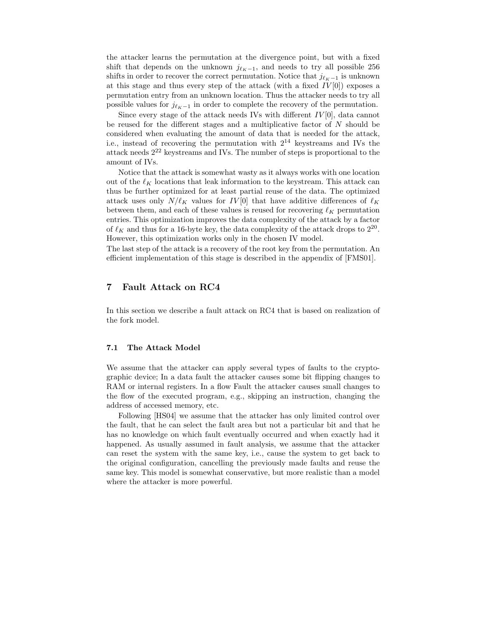the attacker learns the permutation at the divergence point, but with a fixed shift that depends on the unknown  $j_{\ell_K-1}$ , and needs to try all possible 256 shifts in order to recover the correct permutation. Notice that  $j_{\ell_K-1}$  is unknown at this stage and thus every step of the attack (with a fixed  $IV[0]$ ) exposes a permutation entry from an unknown location. Thus the attacker needs to try all possible values for  $j_{\ell_K-1}$  in order to complete the recovery of the permutation.

Since every stage of the attack needs IVs with different  $IV[0]$ , data cannot be reused for the different stages and a multiplicative factor of  $N$  should be considered when evaluating the amount of data that is needed for the attack, i.e., instead of recovering the permutation with  $2^{14}$  keystreams and IVs the attack needs  $2^{22}$  keystreams and IVs. The number of steps is proportional to the amount of IVs.

Notice that the attack is somewhat wasty as it always works with one location out of the  $\ell_K$  locations that leak information to the keystream. This attack can thus be further optimized for at least partial reuse of the data. The optimized attack uses only  $N/\ell_K$  values for  $IV[0]$  that have additive differences of  $\ell_K$ between them, and each of these values is reused for recovering  $\ell_K$  permutation entries. This optimization improves the data complexity of the attack by a factor of  $\ell_K$  and thus for a 16-byte key, the data complexity of the attack drops to  $2^{20}$ . However, this optimization works only in the chosen IV model.

The last step of the attack is a recovery of the root key from the permutation. An efficient implementation of this stage is described in the appendix of [FMS01].

# **7 Fault Attack on RC4**

In this section we describe a fault attack on RC4 that is based on realization of the fork model.

### **7.1 The Attack Model**

We assume that the attacker can apply several types of faults to the cryptographic device; In a data fault the attacker causes some bit flipping changes to RAM or internal registers. In a flow Fault the attacker causes small changes to the flow of the executed program, e.g., skipping an instruction, changing the address of accessed memory, etc.

Following [HS04] we assume that the attacker has only limited control over the fault, that he can select the fault area but not a particular bit and that he has no knowledge on which fault eventually occurred and when exactly had it happened. As usually assumed in fault analysis, we assume that the attacker can reset the system with the same key, i.e., cause the system to get back to the original configuration, cancelling the previously made faults and reuse the same key. This model is somewhat conservative, but more realistic than a model where the attacker is more powerful.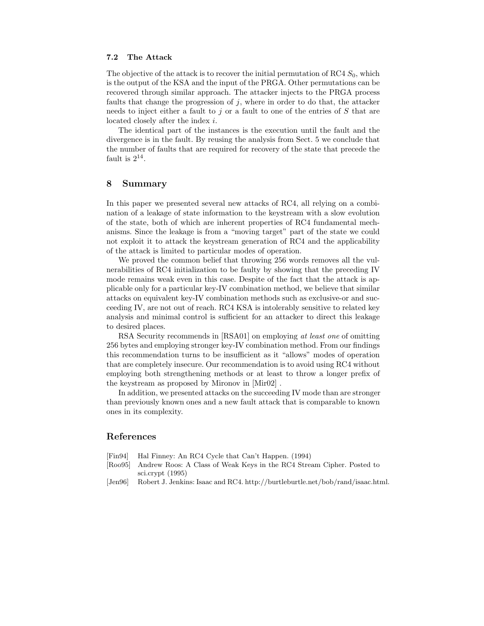#### **7.2 The Attack**

The objective of the attack is to recover the initial permutation of RC4  $S_0$ , which is the output of the KSA and the input of the PRGA. Other permutations can be recovered through similar approach. The attacker injects to the PRGA process faults that change the progression of  $j$ , where in order to do that, the attacker needs to inject either a fault to j or a fault to one of the entries of  $S$  that are located closely after the index i.

The identical part of the instances is the execution until the fault and the divergence is in the fault. By reusing the analysis from Sect. 5 we conclude that the number of faults that are required for recovery of the state that precede the fault is  $2^{14}$ .

#### **8 Summary**

In this paper we presented several new attacks of RC4, all relying on a combination of a leakage of state information to the keystream with a slow evolution of the state, both of which are inherent properties of RC4 fundamental mechanisms. Since the leakage is from a "moving target" part of the state we could not exploit it to attack the keystream generation of RC4 and the applicability of the attack is limited to particular modes of operation.

We proved the common belief that throwing 256 words removes all the vulnerabilities of RC4 initialization to be faulty by showing that the preceding IV mode remains weak even in this case. Despite of the fact that the attack is applicable only for a particular key-IV combination method, we believe that similar attacks on equivalent key-IV combination methods such as exclusive-or and succeeding IV, are not out of reach. RC4 KSA is intolerably sensitive to related key analysis and minimal control is sufficient for an attacker to direct this leakage to desired places.

RSA Security recommends in [RSA01] on employing *at least one* of omitting 256 bytes and employing stronger key-IV combination method. From our findings this recommendation turns to be insufficient as it "allows" modes of operation that are completely insecure. Our recommendation is to avoid using RC4 without employing both strengthening methods or at least to throw a longer prefix of the keystream as proposed by Mironov in [Mir02] .

In addition, we presented attacks on the succeeding IV mode than are stronger than previously known ones and a new fault attack that is comparable to known ones in its complexity.

# **References**

- [Fin94] Hal Finney: An RC4 Cycle that Can't Happen. (1994)
- [Roo95] Andrew Roos: A Class of Weak Keys in the RC4 Stream Cipher. Posted to sci.crypt (1995)
- [Jen96] Robert J. Jenkins: Isaac and RC4. http://burtleburtle.net/bob/rand/isaac.html.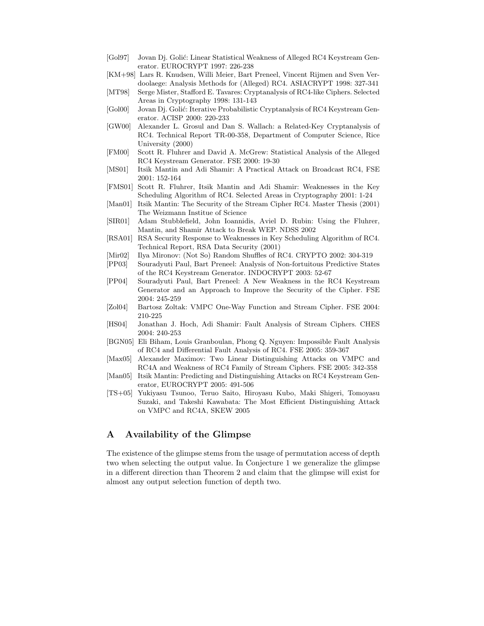- [Gol97] Jovan Dj. Golić: Linear Statistical Weakness of Alleged RC4 Keystream Generator. EUROCRYPT 1997: 226-238
- [KM+98] Lars R. Knudsen, Willi Meier, Bart Preneel, Vincent Rijmen and Sven Verdoolaege: Analysis Methods for (Alleged) RC4. ASIACRYPT 1998: 327-341
- [MT98] Serge Mister, Stafford E. Tavares: Cryptanalysis of RC4-like Ciphers. Selected Areas in Cryptography 1998: 131-143
- [Gol00] Jovan Dj. Golić: Iterative Probabilistic Cryptanalysis of RC4 Keystream Generator. ACISP 2000: 220-233
- [GW00] Alexander L. Grosul and Dan S. Wallach: a Related-Key Cryptanalysis of RC4. Technical Report TR-00-358, Department of Computer Science, Rice University (2000)
- [FM00] Scott R. Fluhrer and David A. McGrew: Statistical Analysis of the Alleged RC4 Keystream Generator. FSE 2000: 19-30
- [MS01] Itsik Mantin and Adi Shamir: A Practical Attack on Broadcast RC4, FSE 2001: 152-164
- [FMS01] Scott R. Fluhrer, Itsik Mantin and Adi Shamir: Weaknesses in the Key Scheduling Algorithm of RC4. Selected Areas in Cryptography 2001: 1-24
- [Man01] Itsik Mantin: The Security of the Stream Cipher RC4. Master Thesis (2001) The Weizmann Institue of Science
- [SIR01] Adam Stubblefield, John Ioannidis, Aviel D. Rubin: Using the Fluhrer, Mantin, and Shamir Attack to Break WEP. NDSS 2002
- [RSA01] RSA Security Response to Weaknesses in Key Scheduling Algorithm of RC4. Technical Report, RSA Data Security (2001)
- [Mir02] Ilya Mironov: (Not So) Random Shuffles of RC4. CRYPTO 2002: 304-319
- [PP03] Souradyuti Paul, Bart Preneel: Analysis of Non-fortuitous Predictive States of the RC4 Keystream Generator. INDOCRYPT 2003: 52-67
- [PP04] Souradyuti Paul, Bart Preneel: A New Weakness in the RC4 Keystream Generator and an Approach to Improve the Security of the Cipher. FSE 2004: 245-259
- [Zol04] Bartosz Zoltak: VMPC One-Way Function and Stream Cipher. FSE 2004: 210-225
- [HS04] Jonathan J. Hoch, Adi Shamir: Fault Analysis of Stream Ciphers. CHES 2004: 240-253
- [BGN05] Eli Biham, Louis Granboulan, Phong Q. Nguyen: Impossible Fault Analysis of RC4 and Differential Fault Analysis of RC4. FSE 2005: 359-367
- [Max05] Alexander Maximov: Two Linear Distinguishing Attacks on VMPC and RC4A and Weakness of RC4 Family of Stream Ciphers. FSE 2005: 342-358
- [Man05] Itsik Mantin: Predicting and Distinguishing Attacks on RC4 Keystream Generator, EUROCRYPT 2005: 491-506
- [TS+05] Yukiyasu Tsunoo, Teruo Saito, Hiroyasu Kubo, Maki Shigeri, Tomoyasu Suzaki, and Takeshi Kawabata: The Most Efficient Distinguishing Attack on VMPC and RC4A, SKEW 2005

# **A Availability of the Glimpse**

The existence of the glimpse stems from the usage of permutation access of depth two when selecting the output value. In Conjecture 1 we generalize the glimpse in a different direction than Theorem 2 and claim that the glimpse will exist for almost any output selection function of depth two.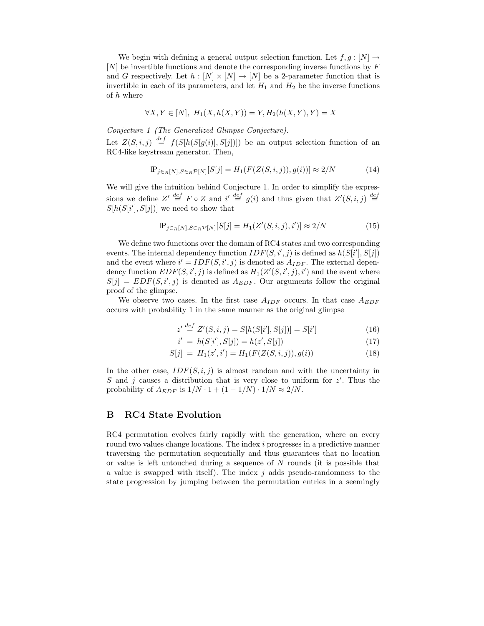We begin with defining a general output selection function. Let  $f, g : [N] \rightarrow$ [N] be invertible functions and denote the corresponding inverse functions by F and G respectively. Let  $h : [N] \times [N] \rightarrow [N]$  be a 2-parameter function that is invertible in each of its parameters, and let  $H_1$  and  $H_2$  be the inverse functions of h where

$$
\forall X, Y \in [N], H_1(X, h(X, Y)) = Y, H_2(h(X, Y), Y) = X
$$

*Conjecture 1 (The Generalized Glimpse Conjecture).* Let  $Z(S, i, j) \stackrel{def}{=} f(S[h(S[g(i)], S[j])])$  be an output selection function of an RCA-like keystream generator. Then RC4-like keystream generator. Then,

$$
\mathbb{P}_{j \in R[N], S \in R} \mathcal{P}[N][S[j] = H_1(F(Z(S, i, j)), g(i))] \approx 2/N \tag{14}
$$

We will give the intuition behind Conjecture 1. In order to simplify the expressions we define  $Z' \stackrel{def}{=} F \circ Z$  and  $i' \stackrel{def}{=} g(i)$  and thus given that  $Z'$ <br>S[b(S[i'] S[i])] we need to show that  $(S, i, j) \stackrel{def}{=}$  $S[h(S[i'], S[j])]$  we need to show that

$$
\mathbb{P}_{j \in R[N], S \in R} \mathcal{P}[N][S[j] = H_1(Z'(S, i, j), i')] \approx 2/N \tag{15}
$$

We define two functions over the domain of RC4 states and two corresponding events. The internal dependency function  $IDF(S, i', j)$  is defined as  $h(S[i'], S[j])$ <br>and the event where  $i' = IDF(S, i', j)$  is denoted as  $A_{LDE}$ . The external depenand the event where  $i' = IDF(S, i', j)$  is denoted as  $A_{IDF}$ . The external dependency function  $EDF(S, i', j)$  is defined as  $H_i(Z'(S, i', j), i')$  and the event where dency function  $EDF(S, i', j)$  is defined as  $H_1(Z'(S, i', j), i')$  and the event where  $S[i] = EDE(S, i', j)$  is denoted as  $A_{DDE}$  Our arguments follow the original  $S[j] = EDF(S, i', j)$  is denoted as  $A_{EDF}$ . Our arguments follow the original proof of the glimpse proof of the glimpse.

We observe two cases. In the first case  $A_{IDF}$  occurs. In that case  $A_{EDF}$ occurs with probability 1 in the same manner as the original glimpse

$$
z' \stackrel{def}{=} Z'(S, i, j) = S[h(S[i'], S[j])] = S[i'] \tag{16}
$$

$$
i' = h(S[i'], S[j]) = h(z', S[j])
$$
\n(17)

$$
S[j] = H_1(z', i') = H_1(F(Z(S, i, j)), g(i))
$$
\n(18)

In the other case,  $IDF(S, i, j)$  is almost random and with the uncertainty in S and j causes a distribution that is very close to uniform for z'. Thus the probability of  $A_{EDD}$  is  $1/N$ ,  $1+(1-1/N)$ ,  $1/N \approx 2/N$ probability of  $A_{EDF}$  is  $1/N \cdot 1 + (1 - 1/N) \cdot 1/N \approx 2/N$ .

# **B RC4 State Evolution**

RC4 permutation evolves fairly rapidly with the generation, where on every round two values change locations. The index i progresses in a predictive manner traversing the permutation sequentially and thus guarantees that no location or value is left untouched during a sequence of N rounds (it is possible that a value is swapped with itself). The index  $j$  adds pseudo-randomness to the state progression by jumping between the permutation entries in a seemingly